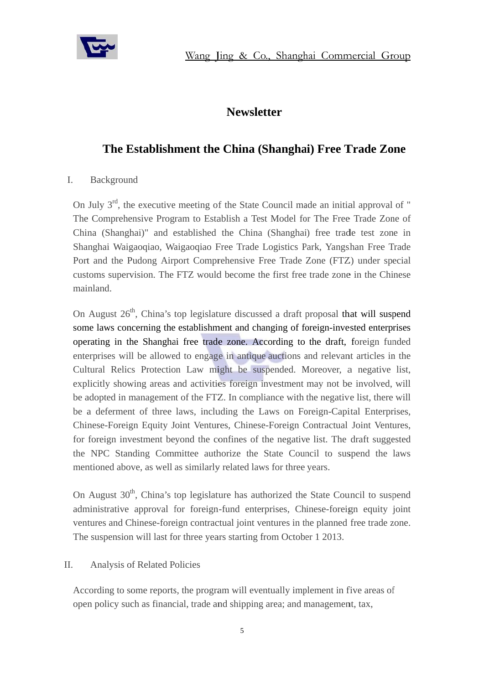

## **Newsletter**

# The Establishment the China (Shanghai) Free Trade Zone

### $\mathbf{I}$ . Background

On July 3<sup>rd</sup>, the executive meeting of the State Council made an initial approval of " The Comprehensive Program to Establish a Test Model for The Free Trade Zone of China (Shanghai)" and established the China (Shanghai) free trade test zone in Shanghai Waigaoqiao, Waigaoqiao Free Trade Logistics Park, Yangshan Free Trade Port and the Pudong Airport Comprehensive Free Trade Zone (FTZ) under special customs supervision. The FTZ would become the first free trade zone in the Chinese mainland.

On August 26<sup>th</sup>, China's top legislature discussed a draft proposal that will suspend some laws concerning the establishment and changing of foreign-invested enterprises operating in the Shanghai free trade zone. According to the draft, foreign funded enterprises will be allowed to engage in antique auctions and relevant articles in the Cultural Relics Protection Law might be suspended. Moreover, a negative list, explicitly showing areas and activities foreign investment may not be involved, will be adopted in management of the FTZ. In compliance with the negative list, there will be a deferment of three laws, including the Laws on Foreign-Capital Enterprises, Chinese-Foreign Equity Joint Ventures, Chinese-Foreign Contractual Joint Ventures, for foreign investment beyond the confines of the negative list. The draft suggested the NPC Standing Committee authorize the State Council to suspend the laws mentioned above, as well as similarly related laws for three years.

On August 30<sup>th</sup>, China's top legislature has authorized the State Council to suspend administrative approval for foreign-fund enterprises, Chinese-foreign equity joint ventures and Chinese-foreign contractual joint ventures in the planned free trade zone. The suspension will last for three years starting from October 1 2013.

#### II. Analysis of Related Policies

According to some reports, the program will eventually implement in five areas of open policy such as financial, trade and shipping area; and management, tax,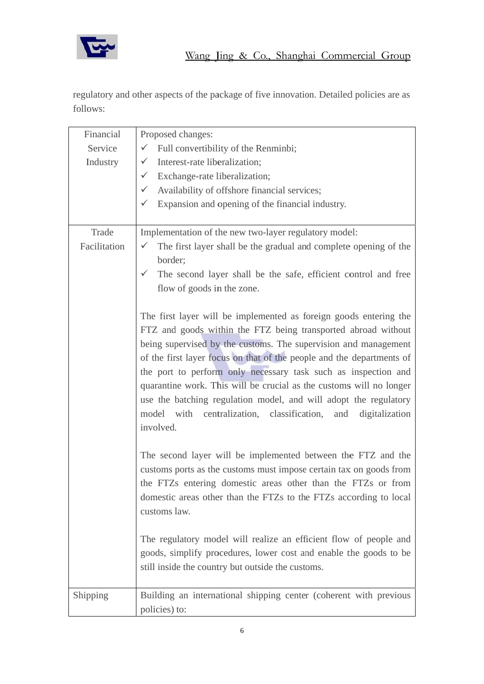

regulatory and other aspects of the package of five innovation. Detailed policies are as follows:

| Financial    | Proposed changes:                                                                                                                                                                                                                                                                                                                                                                                                                                                                                                                                                            |
|--------------|------------------------------------------------------------------------------------------------------------------------------------------------------------------------------------------------------------------------------------------------------------------------------------------------------------------------------------------------------------------------------------------------------------------------------------------------------------------------------------------------------------------------------------------------------------------------------|
| Service      | $\checkmark$ Full convertibility of the Renminbi;                                                                                                                                                                                                                                                                                                                                                                                                                                                                                                                            |
| Industry     | Interest-rate liberalization;<br>$\checkmark$                                                                                                                                                                                                                                                                                                                                                                                                                                                                                                                                |
|              |                                                                                                                                                                                                                                                                                                                                                                                                                                                                                                                                                                              |
|              | $\checkmark$ Exchange-rate liberalization;                                                                                                                                                                                                                                                                                                                                                                                                                                                                                                                                   |
|              | Availability of offshore financial services;                                                                                                                                                                                                                                                                                                                                                                                                                                                                                                                                 |
|              | $\checkmark$ Expansion and opening of the financial industry.                                                                                                                                                                                                                                                                                                                                                                                                                                                                                                                |
| Trade        | Implementation of the new two-layer regulatory model:                                                                                                                                                                                                                                                                                                                                                                                                                                                                                                                        |
| Facilitation | $\checkmark$ The first layer shall be the gradual and complete opening of the<br>border;                                                                                                                                                                                                                                                                                                                                                                                                                                                                                     |
|              | The second layer shall be the safe, efficient control and free<br>$\checkmark$                                                                                                                                                                                                                                                                                                                                                                                                                                                                                               |
|              | flow of goods in the zone.                                                                                                                                                                                                                                                                                                                                                                                                                                                                                                                                                   |
|              | The first layer will be implemented as foreign goods entering the<br>FTZ and goods within the FTZ being transported abroad without<br>being supervised by the customs. The supervision and management<br>of the first layer focus on that of the people and the departments of<br>the port to perform only necessary task such as inspection and<br>quarantine work. This will be crucial as the customs will no longer<br>use the batching regulation model, and will adopt the regulatory<br>model with centralization, classification, and<br>digitalization<br>involved. |
|              | The second layer will be implemented between the FTZ and the<br>customs ports as the customs must impose certain tax on goods from<br>the FTZs entering domestic areas other than the FTZs or from<br>domestic areas other than the FTZs to the FTZs according to local<br>customs law.                                                                                                                                                                                                                                                                                      |
|              | The regulatory model will realize an efficient flow of people and<br>goods, simplify procedures, lower cost and enable the goods to be<br>still inside the country but outside the customs.                                                                                                                                                                                                                                                                                                                                                                                  |
| Shipping     | Building an international shipping center (coherent with previous<br>policies) to:                                                                                                                                                                                                                                                                                                                                                                                                                                                                                           |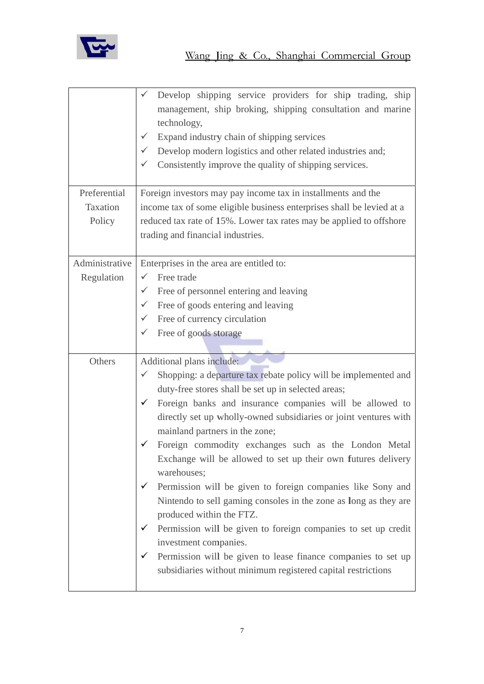

|                | Develop shipping service providers for ship trading, ship<br>management, ship broking, shipping consultation and marine<br>technology,<br>Expand industry chain of shipping services<br>Develop modern logistics and other related industries and;<br>$\checkmark$<br>Consistently improve the quality of shipping services. |
|----------------|------------------------------------------------------------------------------------------------------------------------------------------------------------------------------------------------------------------------------------------------------------------------------------------------------------------------------|
| Preferential   | Foreign investors may pay income tax in installments and the                                                                                                                                                                                                                                                                 |
| Taxation       | income tax of some eligible business enterprises shall be levied at a                                                                                                                                                                                                                                                        |
| Policy         | reduced tax rate of 15%. Lower tax rates may be applied to offshore                                                                                                                                                                                                                                                          |
|                | trading and financial industries.                                                                                                                                                                                                                                                                                            |
| Administrative | Enterprises in the area are entitled to:                                                                                                                                                                                                                                                                                     |
| Regulation     | Free trade                                                                                                                                                                                                                                                                                                                   |
|                | Free of personnel entering and leaving                                                                                                                                                                                                                                                                                       |
|                | Free of goods entering and leaving                                                                                                                                                                                                                                                                                           |
|                | $\checkmark$ Free of currency circulation                                                                                                                                                                                                                                                                                    |
|                | Free of goods storage                                                                                                                                                                                                                                                                                                        |
| Others         | Additional plans include:                                                                                                                                                                                                                                                                                                    |
|                | Shopping: a departure tax rebate policy will be implemented and<br>✓                                                                                                                                                                                                                                                         |
|                | duty-free stores shall be set up in selected areas;                                                                                                                                                                                                                                                                          |
|                | Foreign banks and insurance companies will be allowed to<br>✓                                                                                                                                                                                                                                                                |
|                | directly set up wholly-owned subsidiaries or joint ventures with<br>mainland partners in the zone;                                                                                                                                                                                                                           |
|                | Foreign commodity exchanges such as the London Metal                                                                                                                                                                                                                                                                         |
|                | Exchange will be allowed to set up their own futures delivery<br>warehouses;                                                                                                                                                                                                                                                 |
|                | Permission will be given to foreign companies like Sony and<br>✓                                                                                                                                                                                                                                                             |
|                | Nintendo to sell gaming consoles in the zone as long as they are<br>produced within the FTZ.                                                                                                                                                                                                                                 |
|                | Permission will be given to foreign companies to set up credit<br>$\checkmark$<br>investment companies.                                                                                                                                                                                                                      |
|                | Permission will be given to lease finance companies to set up<br>✓<br>subsidiaries without minimum registered capital restrictions                                                                                                                                                                                           |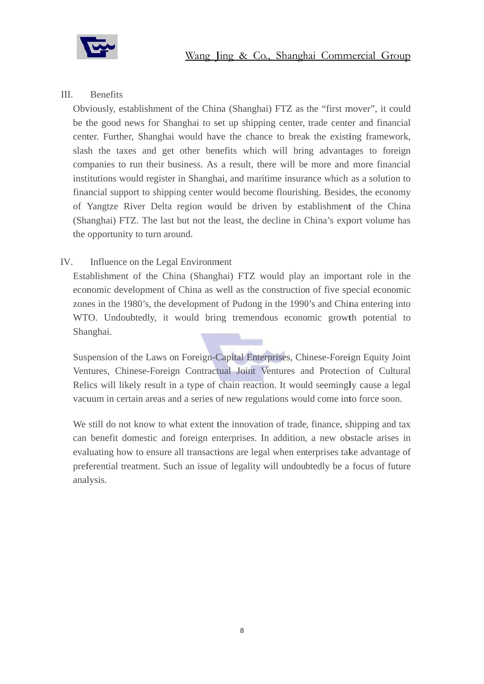

#### $III.$ **Benefits**

Obviously, establishment of the China (Shanghai) FTZ as the "first mover", it could be the good news for Shanghai to set up shipping center, trade center and financial center. Further, Shanghai would have the chance to break the existing framework, slash the taxes and get other benefits which will bring advantages to foreign companies to run their business. As a result, there will be more and more financial institutions would register in Shanghai, and maritime insurance which as a solution to financial support to shipping center would become flourishing. Besides, the economy of Yangtze River Delta region would be driven by establishment of the China (Shanghai) FTZ. The last but not the least, the decline in China's export volume has the opportunity to turn around.

#### IV. Influence on the Legal Environment

Establishment of the China (Shanghai) FTZ would play an important role in the economic development of China as well as the construction of five special economic zones in the 1980's, the development of Pudong in the 1990's and China entering into WTO. Undoubtedly, it would bring tremendous economic growth potential to Shanghai.

Suspension of the Laws on Foreign-Capital Enterprises, Chinese-Foreign Equity Joint Ventures, Chinese-Foreign Contractual Joint Ventures and Protection of Cultural Relics will likely result in a type of chain reaction. It would seemingly cause a legal vacuum in certain areas and a series of new regulations would come into force soon.

We still do not know to what extent the innovation of trade, finance, shipping and tax can benefit domestic and foreign enterprises. In addition, a new obstacle arises in evaluating how to ensure all transactions are legal when enterprises take advantage of preferential treatment. Such an issue of legality will undoubtedly be a focus of future analysis.